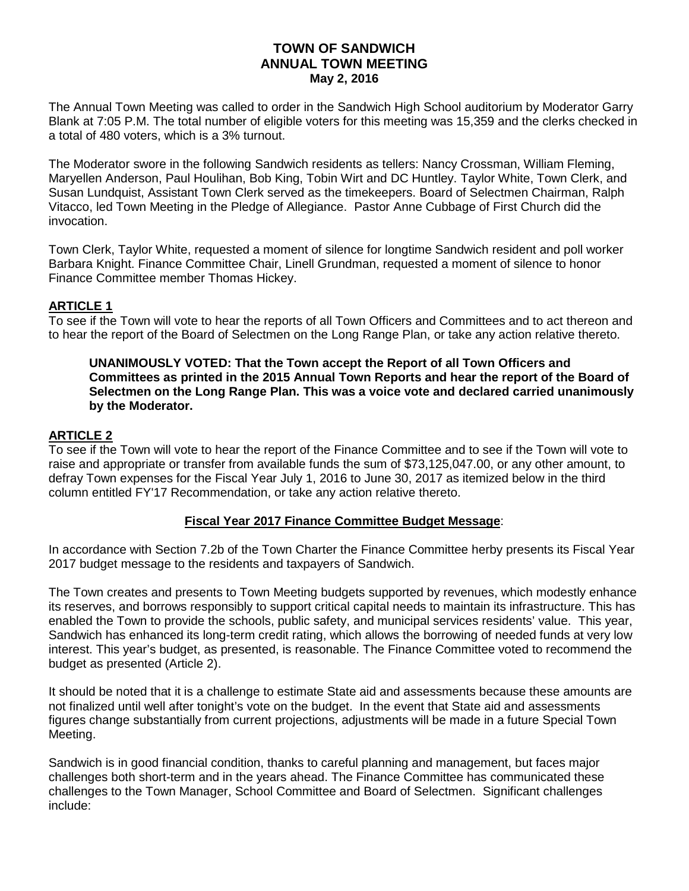### **TOWN OF SANDWICH ANNUAL TOWN MEETING May 2, 2016**

The Annual Town Meeting was called to order in the Sandwich High School auditorium by Moderator Garry Blank at 7:05 P.M. The total number of eligible voters for this meeting was 15,359 and the clerks checked in a total of 480 voters, which is a 3% turnout.

The Moderator swore in the following Sandwich residents as tellers: Nancy Crossman, William Fleming, Maryellen Anderson, Paul Houlihan, Bob King, Tobin Wirt and DC Huntley. Taylor White, Town Clerk, and Susan Lundquist, Assistant Town Clerk served as the timekeepers. Board of Selectmen Chairman, Ralph Vitacco, led Town Meeting in the Pledge of Allegiance. Pastor Anne Cubbage of First Church did the invocation.

Town Clerk, Taylor White, requested a moment of silence for longtime Sandwich resident and poll worker Barbara Knight. Finance Committee Chair, Linell Grundman, requested a moment of silence to honor Finance Committee member Thomas Hickey.

## **ARTICLE 1**

To see if the Town will vote to hear the reports of all Town Officers and Committees and to act thereon and to hear the report of the Board of Selectmen on the Long Range Plan, or take any action relative thereto.

**UNANIMOUSLY VOTED: That the Town accept the Report of all Town Officers and Committees as printed in the 2015 Annual Town Reports and hear the report of the Board of Selectmen on the Long Range Plan. This was a voice vote and declared carried unanimously by the Moderator.**

## **ARTICLE 2**

To see if the Town will vote to hear the report of the Finance Committee and to see if the Town will vote to raise and appropriate or transfer from available funds the sum of \$73,125,047.00, or any other amount, to defray Town expenses for the Fiscal Year July 1, 2016 to June 30, 2017 as itemized below in the third column entitled FY'17 Recommendation, or take any action relative thereto.

### **Fiscal Year 2017 Finance Committee Budget Message**:

In accordance with Section 7.2b of the Town Charter the Finance Committee herby presents its Fiscal Year 2017 budget message to the residents and taxpayers of Sandwich.

The Town creates and presents to Town Meeting budgets supported by revenues, which modestly enhance its reserves, and borrows responsibly to support critical capital needs to maintain its infrastructure. This has enabled the Town to provide the schools, public safety, and municipal services residents' value. This year, Sandwich has enhanced its long-term credit rating, which allows the borrowing of needed funds at very low interest. This year's budget, as presented, is reasonable. The Finance Committee voted to recommend the budget as presented (Article 2).

It should be noted that it is a challenge to estimate State aid and assessments because these amounts are not finalized until well after tonight's vote on the budget. In the event that State aid and assessments figures change substantially from current projections, adjustments will be made in a future Special Town Meeting.

Sandwich is in good financial condition, thanks to careful planning and management, but faces major challenges both short-term and in the years ahead. The Finance Committee has communicated these challenges to the Town Manager, School Committee and Board of Selectmen. Significant challenges include: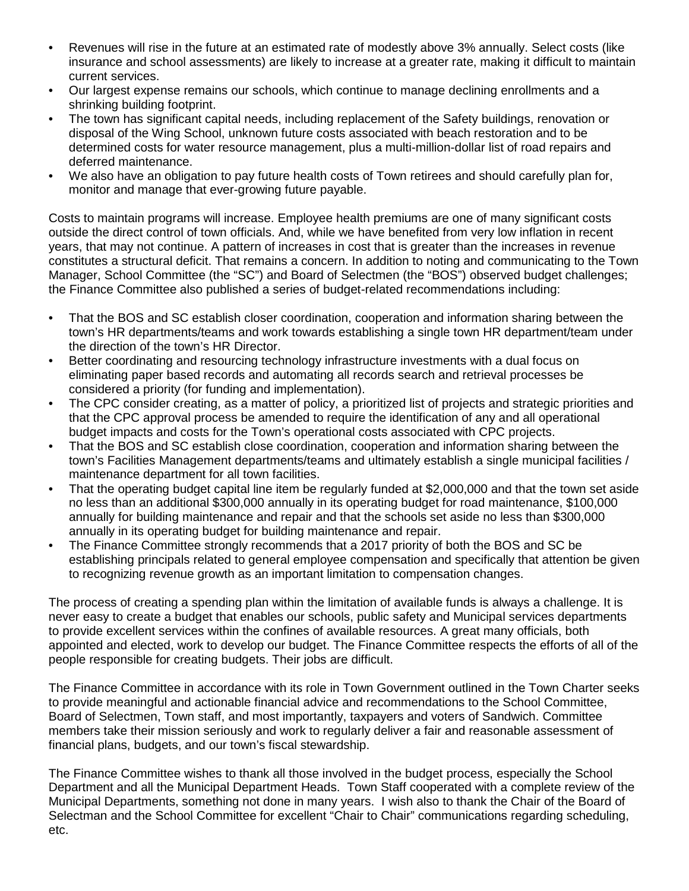- Revenues will rise in the future at an estimated rate of modestly above 3% annually. Select costs (like insurance and school assessments) are likely to increase at a greater rate, making it difficult to maintain current services.
- Our largest expense remains our schools, which continue to manage declining enrollments and a shrinking building footprint.
- The town has significant capital needs, including replacement of the Safety buildings, renovation or disposal of the Wing School, unknown future costs associated with beach restoration and to be determined costs for water resource management, plus a multi-million-dollar list of road repairs and deferred maintenance.
- We also have an obligation to pay future health costs of Town retirees and should carefully plan for, monitor and manage that ever-growing future payable.

Costs to maintain programs will increase. Employee health premiums are one of many significant costs outside the direct control of town officials. And, while we have benefited from very low inflation in recent years, that may not continue. A pattern of increases in cost that is greater than the increases in revenue constitutes a structural deficit. That remains a concern. In addition to noting and communicating to the Town Manager, School Committee (the "SC") and Board of Selectmen (the "BOS") observed budget challenges; the Finance Committee also published a series of budget-related recommendations including:

- That the BOS and SC establish closer coordination, cooperation and information sharing between the town's HR departments/teams and work towards establishing a single town HR department/team under the direction of the town's HR Director.
- Better coordinating and resourcing technology infrastructure investments with a dual focus on eliminating paper based records and automating all records search and retrieval processes be considered a priority (for funding and implementation).
- The CPC consider creating, as a matter of policy, a prioritized list of projects and strategic priorities and that the CPC approval process be amended to require the identification of any and all operational budget impacts and costs for the Town's operational costs associated with CPC projects.
- That the BOS and SC establish close coordination, cooperation and information sharing between the town's Facilities Management departments/teams and ultimately establish a single municipal facilities / maintenance department for all town facilities.
- That the operating budget capital line item be regularly funded at \$2,000,000 and that the town set aside no less than an additional \$300,000 annually in its operating budget for road maintenance, \$100,000 annually for building maintenance and repair and that the schools set aside no less than \$300,000 annually in its operating budget for building maintenance and repair.
- The Finance Committee strongly recommends that a 2017 priority of both the BOS and SC be establishing principals related to general employee compensation and specifically that attention be given to recognizing revenue growth as an important limitation to compensation changes.

The process of creating a spending plan within the limitation of available funds is always a challenge. It is never easy to create a budget that enables our schools, public safety and Municipal services departments to provide excellent services within the confines of available resources. A great many officials, both appointed and elected, work to develop our budget. The Finance Committee respects the efforts of all of the people responsible for creating budgets. Their jobs are difficult.

The Finance Committee in accordance with its role in Town Government outlined in the Town Charter seeks to provide meaningful and actionable financial advice and recommendations to the School Committee, Board of Selectmen, Town staff, and most importantly, taxpayers and voters of Sandwich. Committee members take their mission seriously and work to regularly deliver a fair and reasonable assessment of financial plans, budgets, and our town's fiscal stewardship.

The Finance Committee wishes to thank all those involved in the budget process, especially the School Department and all the Municipal Department Heads. Town Staff cooperated with a complete review of the Municipal Departments, something not done in many years. I wish also to thank the Chair of the Board of Selectman and the School Committee for excellent "Chair to Chair" communications regarding scheduling, etc.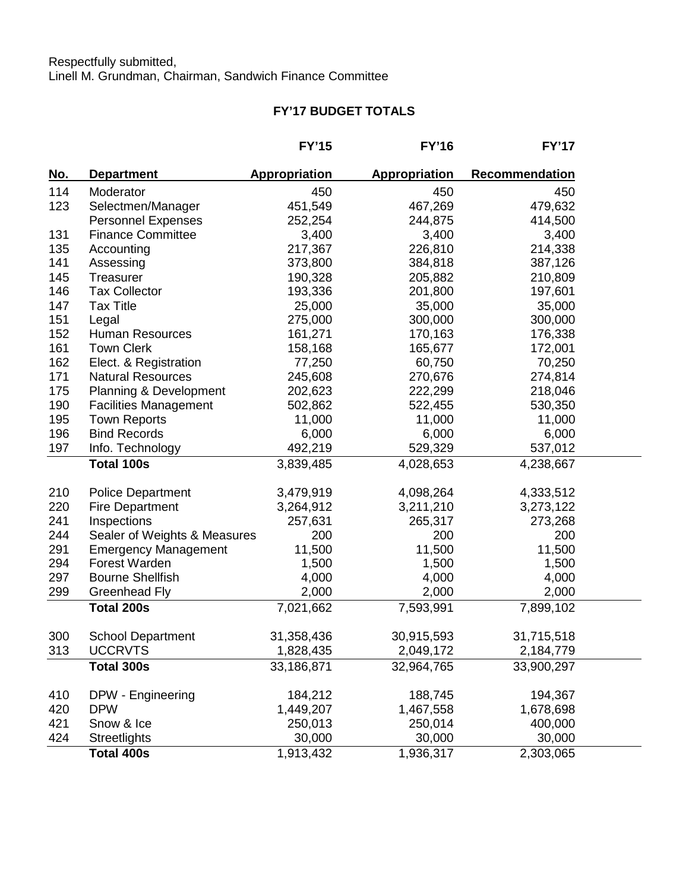# **FY'17 BUDGET TOTALS**

|            |                                   | <b>FY'15</b>  | <b>FY'16</b>         | <b>FY'17</b>   |
|------------|-----------------------------------|---------------|----------------------|----------------|
| <u>No.</u> | <b>Department</b>                 | Appropriation | <b>Appropriation</b> | Recommendation |
| 114        | Moderator                         | 450           | 450                  | 450            |
| 123        | Selectmen/Manager                 | 451,549       | 467,269              | 479,632        |
|            | <b>Personnel Expenses</b>         | 252,254       | 244,875              | 414,500        |
| 131        | <b>Finance Committee</b>          | 3,400         | 3,400                | 3,400          |
| 135        | Accounting                        | 217,367       | 226,810              | 214,338        |
| 141        | Assessing                         | 373,800       | 384,818              | 387,126        |
| 145        | Treasurer                         | 190,328       | 205,882              | 210,809        |
| 146        | <b>Tax Collector</b>              | 193,336       | 201,800              | 197,601        |
| 147        | <b>Tax Title</b>                  | 25,000        | 35,000               | 35,000         |
| 151        | Legal                             | 275,000       | 300,000              | 300,000        |
| 152        | <b>Human Resources</b>            | 161,271       | 170,163              | 176,338        |
| 161        | <b>Town Clerk</b>                 | 158,168       | 165,677              | 172,001        |
| 162        | Elect. & Registration             | 77,250        | 60,750               | 70,250         |
| 171        | <b>Natural Resources</b>          | 245,608       | 270,676              | 274,814        |
| 175        | <b>Planning &amp; Development</b> | 202,623       | 222,299              | 218,046        |
| 190        | <b>Facilities Management</b>      | 502,862       | 522,455              | 530,350        |
| 195        | <b>Town Reports</b>               | 11,000        | 11,000               | 11,000         |
| 196        | <b>Bind Records</b>               | 6,000         | 6,000                | 6,000          |
| 197        | Info. Technology                  | 492,219       | 529,329              | 537,012        |
|            | Total 100s                        | 3,839,485     | 4,028,653            | 4,238,667      |
| 210        | <b>Police Department</b>          | 3,479,919     | 4,098,264            | 4,333,512      |
| 220        | <b>Fire Department</b>            | 3,264,912     | 3,211,210            | 3,273,122      |
| 241        | Inspections                       | 257,631       | 265,317              | 273,268        |
| 244        | Sealer of Weights & Measures      | 200           | 200                  | 200            |
| 291        | <b>Emergency Management</b>       | 11,500        | 11,500               | 11,500         |
| 294        | Forest Warden                     | 1,500         | 1,500                | 1,500          |
| 297        | <b>Bourne Shellfish</b>           | 4,000         | 4,000                | 4,000          |
| 299        | Greenhead Fly                     | 2,000         | 2,000                | 2,000          |
|            | Total 200s                        | 7,021,662     | 7,593,991            | 7,899,102      |
| 300        | <b>School Department</b>          | 31,358,436    | 30,915,593           | 31,715,518     |
| 313        | <b>UCCRVTS</b>                    | 1,828,435     | 2,049,172            | 2,184,779      |
|            | Total 300s                        | 33,186,871    | 32,964,765           | 33,900,297     |
| 410        | DPW - Engineering                 | 184,212       | 188,745              | 194,367        |
| 420        | <b>DPW</b>                        | 1,449,207     | 1,467,558            | 1,678,698      |
| 421        | Snow & Ice                        | 250,013       | 250,014              | 400,000        |
| 424        | Streetlights                      | 30,000        | 30,000               | 30,000         |
|            | Total 400s                        | 1,913,432     | 1,936,317            | 2,303,065      |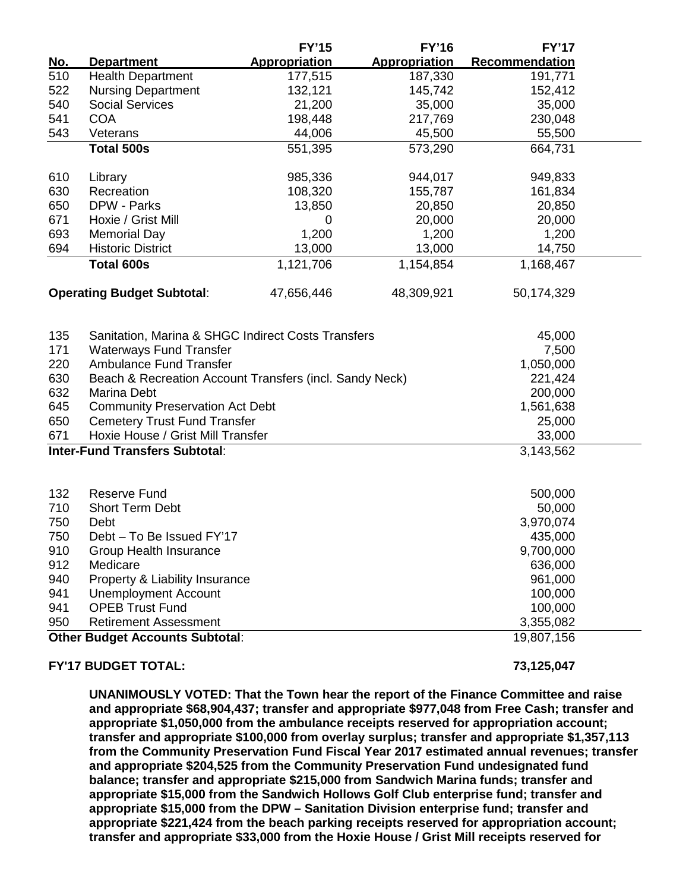|                                        |                                                         | <b>FY'15</b>         | <b>FY'16</b>         | <b>FY'17</b>          |  |
|----------------------------------------|---------------------------------------------------------|----------------------|----------------------|-----------------------|--|
| <u>No.</u>                             | <b>Department</b>                                       | <b>Appropriation</b> | <b>Appropriation</b> | <b>Recommendation</b> |  |
| 510                                    | <b>Health Department</b>                                | 177,515              | 187,330              | 191,771               |  |
| 522                                    | <b>Nursing Department</b>                               | 132,121              | 145,742              | 152,412               |  |
| 540                                    | <b>Social Services</b>                                  | 21,200               | 35,000               | 35,000                |  |
| 541                                    | <b>COA</b>                                              | 198,448              | 217,769              | 230,048               |  |
| 543                                    | Veterans                                                | 44,006               | 45,500               | 55,500                |  |
|                                        | <b>Total 500s</b>                                       | 551,395              | 573,290              | 664,731               |  |
| 610                                    | Library                                                 | 985,336              | 944,017              | 949,833               |  |
| 630                                    | Recreation                                              | 108,320              | 155,787              | 161,834               |  |
| 650                                    | DPW - Parks                                             | 13,850               | 20,850               | 20,850                |  |
| 671                                    | Hoxie / Grist Mill                                      | 0                    | 20,000               | 20,000                |  |
| 693                                    | <b>Memorial Day</b>                                     | 1,200                | 1,200                | 1,200                 |  |
| 694                                    | <b>Historic District</b>                                | 13,000               | 13,000               | 14,750                |  |
|                                        | Total 600s                                              | 1,121,706            | 1,154,854            | 1,168,467             |  |
|                                        | <b>Operating Budget Subtotal:</b>                       | 47,656,446           | 48,309,921           | 50,174,329            |  |
| 135                                    | Sanitation, Marina & SHGC Indirect Costs Transfers      |                      |                      | 45,000                |  |
| 171                                    | <b>Waterways Fund Transfer</b>                          |                      |                      | 7,500                 |  |
| 220                                    | <b>Ambulance Fund Transfer</b>                          |                      |                      | 1,050,000             |  |
| 630                                    | Beach & Recreation Account Transfers (incl. Sandy Neck) |                      |                      | 221,424               |  |
| 632                                    | Marina Debt                                             |                      |                      | 200,000               |  |
| 645                                    | <b>Community Preservation Act Debt</b>                  |                      |                      | 1,561,638             |  |
| 650                                    | <b>Cemetery Trust Fund Transfer</b>                     |                      |                      | 25,000                |  |
| 671                                    | Hoxie House / Grist Mill Transfer                       |                      |                      | 33,000                |  |
| <b>Inter-Fund Transfers Subtotal:</b>  |                                                         |                      |                      | 3,143,562             |  |
| 132                                    | <b>Reserve Fund</b>                                     |                      |                      | 500,000               |  |
| 710                                    | <b>Short Term Debt</b>                                  |                      |                      | 50,000                |  |
| 750                                    | Debt                                                    |                      |                      | 3,970,074             |  |
| 750                                    | Debt - To Be Issued FY'17                               |                      |                      | 435,000               |  |
| 910                                    | Group Health Insurance                                  |                      |                      | 9,700,000             |  |
| 912                                    | Medicare                                                |                      |                      | 636,000               |  |
| 940                                    | Property & Liability Insurance                          |                      |                      | 961,000               |  |
| 941                                    | <b>Unemployment Account</b>                             |                      |                      | 100,000               |  |
| 941                                    | <b>OPEB Trust Fund</b>                                  |                      |                      | 100,000               |  |
| 950                                    | <b>Retirement Assessment</b>                            |                      |                      | 3,355,082             |  |
| <b>Other Budget Accounts Subtotal:</b> |                                                         |                      | 19,807,156           |                       |  |
|                                        |                                                         |                      |                      |                       |  |

#### **FY'17 BUDGET TOTAL: 73,125,047**

**UNANIMOUSLY VOTED: That the Town hear the report of the Finance Committee and raise and appropriate \$68,904,437; transfer and appropriate \$977,048 from Free Cash; transfer and appropriate \$1,050,000 from the ambulance receipts reserved for appropriation account; transfer and appropriate \$100,000 from overlay surplus; transfer and appropriate \$1,357,113 from the Community Preservation Fund Fiscal Year 2017 estimated annual revenues; transfer and appropriate \$204,525 from the Community Preservation Fund undesignated fund balance; transfer and appropriate \$215,000 from Sandwich Marina funds; transfer and appropriate \$15,000 from the Sandwich Hollows Golf Club enterprise fund; transfer and appropriate \$15,000 from the DPW – Sanitation Division enterprise fund; transfer and appropriate \$221,424 from the beach parking receipts reserved for appropriation account; transfer and appropriate \$33,000 from the Hoxie House / Grist Mill receipts reserved for**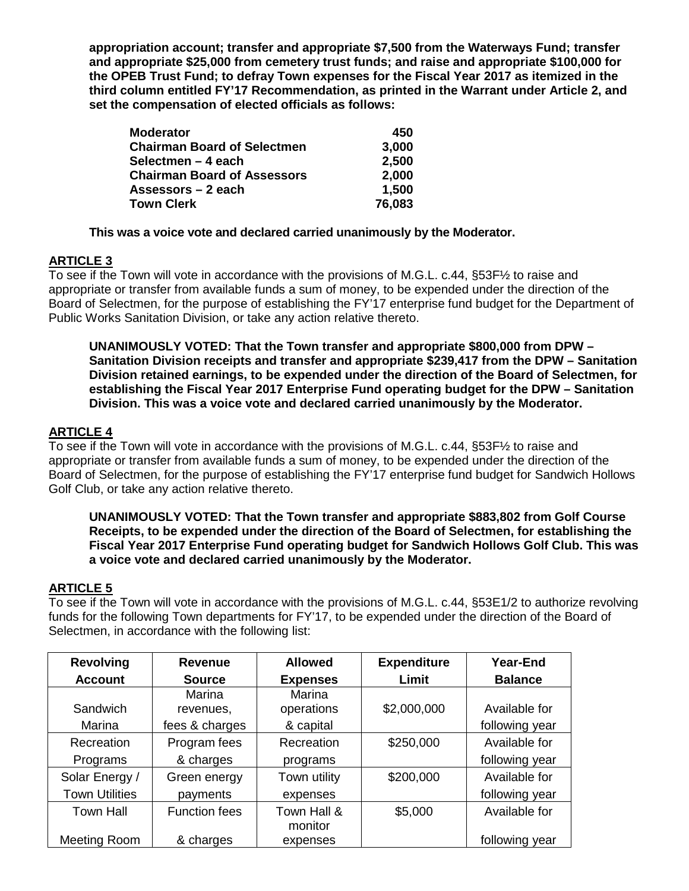**appropriation account; transfer and appropriate \$7,500 from the Waterways Fund; transfer and appropriate \$25,000 from cemetery trust funds; and raise and appropriate \$100,000 for the OPEB Trust Fund; to defray Town expenses for the Fiscal Year 2017 as itemized in the third column entitled FY'17 Recommendation, as printed in the Warrant under Article 2, and set the compensation of elected officials as follows:**

| <b>Moderator</b>                   | 450    |
|------------------------------------|--------|
| <b>Chairman Board of Selectmen</b> | 3,000  |
| Selectmen – 4 each                 | 2,500  |
| <b>Chairman Board of Assessors</b> | 2,000  |
| Assessors – 2 each                 | 1,500  |
| <b>Town Clerk</b>                  | 76,083 |

### **This was a voice vote and declared carried unanimously by the Moderator.**

## **ARTICLE 3**

To see if the Town will vote in accordance with the provisions of M.G.L. c.44, §53F½ to raise and appropriate or transfer from available funds a sum of money, to be expended under the direction of the Board of Selectmen, for the purpose of establishing the FY'17 enterprise fund budget for the Department of Public Works Sanitation Division, or take any action relative thereto.

**UNANIMOUSLY VOTED: That the Town transfer and appropriate \$800,000 from DPW – Sanitation Division receipts and transfer and appropriate \$239,417 from the DPW – Sanitation Division retained earnings, to be expended under the direction of the Board of Selectmen, for establishing the Fiscal Year 2017 Enterprise Fund operating budget for the DPW – Sanitation Division. This was a voice vote and declared carried unanimously by the Moderator.**

### **ARTICLE 4**

To see if the Town will vote in accordance with the provisions of M.G.L. c.44, §53F½ to raise and appropriate or transfer from available funds a sum of money, to be expended under the direction of the Board of Selectmen, for the purpose of establishing the FY'17 enterprise fund budget for Sandwich Hollows Golf Club, or take any action relative thereto.

### **UNANIMOUSLY VOTED: That the Town transfer and appropriate \$883,802 from Golf Course Receipts, to be expended under the direction of the Board of Selectmen, for establishing the Fiscal Year 2017 Enterprise Fund operating budget for Sandwich Hollows Golf Club. This was a voice vote and declared carried unanimously by the Moderator.**

### **ARTICLE 5**

To see if the Town will vote in accordance with the provisions of M.G.L. c.44, §53E1/2 to authorize revolving funds for the following Town departments for FY'17, to be expended under the direction of the Board of Selectmen, in accordance with the following list:

| <b>Revolving</b>      | <b>Revenue</b>       | <b>Allowed</b>  | <b>Expenditure</b> | <b>Year-End</b> |
|-----------------------|----------------------|-----------------|--------------------|-----------------|
| <b>Account</b>        | <b>Source</b>        | <b>Expenses</b> | Limit              | <b>Balance</b>  |
|                       | Marina               | <b>Marina</b>   |                    |                 |
| Sandwich              | revenues,            | operations      | \$2,000,000        | Available for   |
| Marina                | fees & charges       | & capital       |                    | following year  |
| Recreation            | Program fees         | Recreation      | \$250,000          | Available for   |
| Programs              | & charges            | programs        |                    | following year  |
| Solar Energy /        | Green energy         | Town utility    | \$200,000          | Available for   |
| <b>Town Utilities</b> | payments             | expenses        |                    | following year  |
| <b>Town Hall</b>      | <b>Function fees</b> | Town Hall &     | \$5,000            | Available for   |
|                       |                      | monitor         |                    |                 |
| Meeting Room          | & charges            | expenses        |                    | following year  |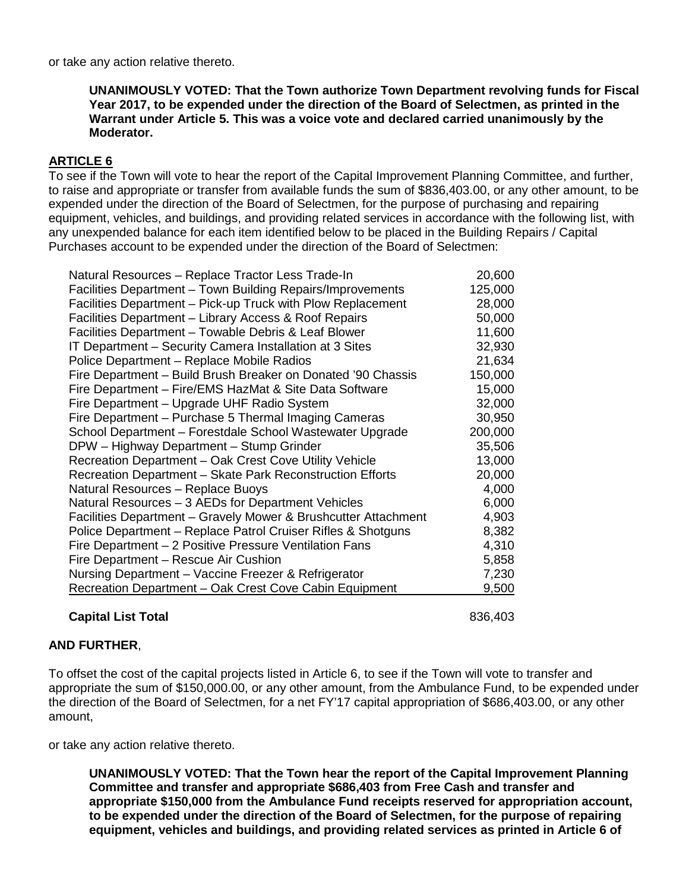or take any action relative thereto.

**UNANIMOUSLY VOTED: That the Town authorize Town Department revolving funds for Fiscal Year 2017, to be expended under the direction of the Board of Selectmen, as printed in the Warrant under Article 5. This was a voice vote and declared carried unanimously by the Moderator.**

# **ARTICLE 6**

To see if the Town will vote to hear the report of the Capital Improvement Planning Committee, and further, to raise and appropriate or transfer from available funds the sum of \$836,403.00, or any other amount, to be expended under the direction of the Board of Selectmen, for the purpose of purchasing and repairing equipment, vehicles, and buildings, and providing related services in accordance with the following list, with any unexpended balance for each item identified below to be placed in the Building Repairs / Capital Purchases account to be expended under the direction of the Board of Selectmen:

| Natural Resources - Replace Tractor Less Trade-In              | 20,600  |
|----------------------------------------------------------------|---------|
| Facilities Department - Town Building Repairs/Improvements     | 125,000 |
| Facilities Department – Pick-up Truck with Plow Replacement    | 28,000  |
| Facilities Department – Library Access & Roof Repairs          | 50,000  |
| Facilities Department - Towable Debris & Leaf Blower           | 11,600  |
| IT Department - Security Camera Installation at 3 Sites        | 32,930  |
| Police Department - Replace Mobile Radios                      | 21,634  |
| Fire Department – Build Brush Breaker on Donated '90 Chassis   | 150,000 |
| Fire Department - Fire/EMS HazMat & Site Data Software         | 15,000  |
| Fire Department - Upgrade UHF Radio System                     | 32,000  |
| Fire Department - Purchase 5 Thermal Imaging Cameras           | 30,950  |
| School Department - Forestdale School Wastewater Upgrade       | 200,000 |
| DPW - Highway Department - Stump Grinder                       | 35,506  |
| Recreation Department - Oak Crest Cove Utility Vehicle         | 13,000  |
| Recreation Department - Skate Park Reconstruction Efforts      | 20,000  |
| Natural Resources - Replace Buoys                              | 4,000   |
| Natural Resources - 3 AEDs for Department Vehicles             | 6,000   |
| Facilities Department - Gravely Mower & Brushcutter Attachment | 4,903   |
| Police Department - Replace Patrol Cruiser Rifles & Shotguns   | 8,382   |
| Fire Department - 2 Positive Pressure Ventilation Fans         | 4,310   |
| Fire Department - Rescue Air Cushion                           | 5,858   |
| Nursing Department - Vaccine Freezer & Refrigerator            | 7,230   |
| Recreation Department - Oak Crest Cove Cabin Equipment         | 9,500   |

### **Capital List Total** 836,403

### **AND FURTHER**,

To offset the cost of the capital projects listed in Article 6, to see if the Town will vote to transfer and appropriate the sum of \$150,000.00, or any other amount, from the Ambulance Fund, to be expended under the direction of the Board of Selectmen, for a net FY'17 capital appropriation of \$686,403.00, or any other amount,

or take any action relative thereto.

**UNANIMOUSLY VOTED: That the Town hear the report of the Capital Improvement Planning Committee and transfer and appropriate \$686,403 from Free Cash and transfer and appropriate \$150,000 from the Ambulance Fund receipts reserved for appropriation account, to be expended under the direction of the Board of Selectmen, for the purpose of repairing equipment, vehicles and buildings, and providing related services as printed in Article 6 of**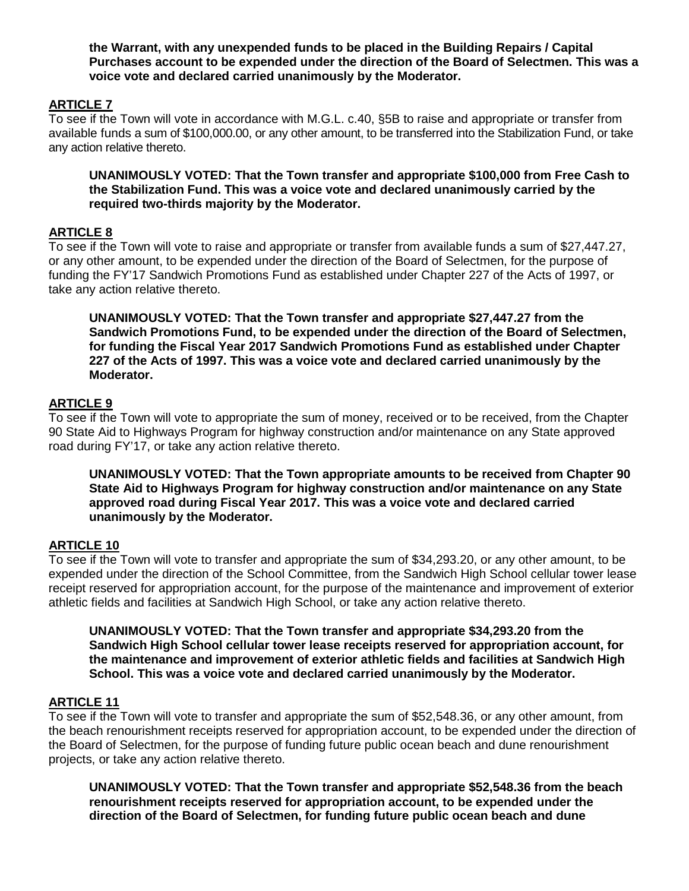**the Warrant, with any unexpended funds to be placed in the Building Repairs / Capital Purchases account to be expended under the direction of the Board of Selectmen. This was a voice vote and declared carried unanimously by the Moderator.**

# **ARTICLE 7**

To see if the Town will vote in accordance with M.G.L. c.40, §5B to raise and appropriate or transfer from available funds a sum of \$100,000.00, or any other amount, to be transferred into the Stabilization Fund, or take any action relative thereto.

**UNANIMOUSLY VOTED: That the Town transfer and appropriate \$100,000 from Free Cash to the Stabilization Fund. This was a voice vote and declared unanimously carried by the required two-thirds majority by the Moderator.**

### **ARTICLE 8**

To see if the Town will vote to raise and appropriate or transfer from available funds a sum of \$27,447.27, or any other amount, to be expended under the direction of the Board of Selectmen, for the purpose of funding the FY'17 Sandwich Promotions Fund as established under Chapter 227 of the Acts of 1997, or take any action relative thereto.

**UNANIMOUSLY VOTED: That the Town transfer and appropriate \$27,447.27 from the Sandwich Promotions Fund, to be expended under the direction of the Board of Selectmen, for funding the Fiscal Year 2017 Sandwich Promotions Fund as established under Chapter 227 of the Acts of 1997. This was a voice vote and declared carried unanimously by the Moderator.**

### **ARTICLE 9**

To see if the Town will vote to appropriate the sum of money, received or to be received, from the Chapter 90 State Aid to Highways Program for highway construction and/or maintenance on any State approved road during FY'17, or take any action relative thereto.

**UNANIMOUSLY VOTED: That the Town appropriate amounts to be received from Chapter 90 State Aid to Highways Program for highway construction and/or maintenance on any State approved road during Fiscal Year 2017. This was a voice vote and declared carried unanimously by the Moderator.**

### **ARTICLE 10**

To see if the Town will vote to transfer and appropriate the sum of \$34,293.20, or any other amount, to be expended under the direction of the School Committee, from the Sandwich High School cellular tower lease receipt reserved for appropriation account, for the purpose of the maintenance and improvement of exterior athletic fields and facilities at Sandwich High School, or take any action relative thereto.

**UNANIMOUSLY VOTED: That the Town transfer and appropriate \$34,293.20 from the Sandwich High School cellular tower lease receipts reserved for appropriation account, for the maintenance and improvement of exterior athletic fields and facilities at Sandwich High School. This was a voice vote and declared carried unanimously by the Moderator.**

#### **ARTICLE 11**

To see if the Town will vote to transfer and appropriate the sum of \$52,548.36, or any other amount, from the beach renourishment receipts reserved for appropriation account, to be expended under the direction of the Board of Selectmen, for the purpose of funding future public ocean beach and dune renourishment projects, or take any action relative thereto.

**UNANIMOUSLY VOTED: That the Town transfer and appropriate \$52,548.36 from the beach renourishment receipts reserved for appropriation account, to be expended under the direction of the Board of Selectmen, for funding future public ocean beach and dune**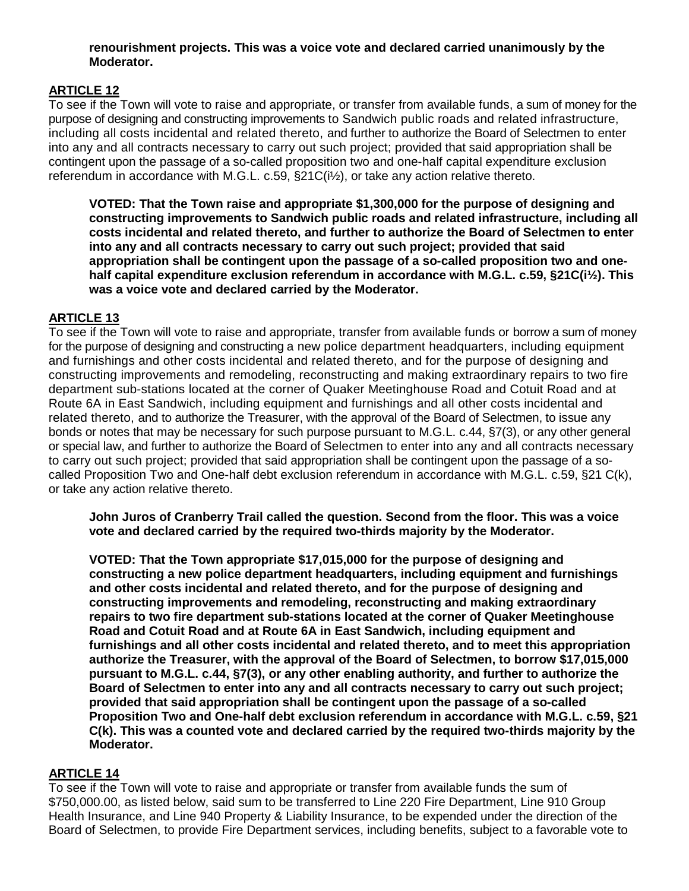### **renourishment projects. This was a voice vote and declared carried unanimously by the Moderator.**

# **ARTICLE 12**

To see if the Town will vote to raise and appropriate, or transfer from available funds, a sum of money for the purpose of designing and constructing improvements to Sandwich public roads and related infrastructure, including all costs incidental and related thereto, and further to authorize the Board of Selectmen to enter into any and all contracts necessary to carry out such project; provided that said appropriation shall be contingent upon the passage of a so-called proposition two and one-half capital expenditure exclusion referendum in accordance with M.G.L. c.59, §21C(i½), or take any action relative thereto.

**VOTED: That the Town raise and appropriate \$1,300,000 for the purpose of designing and constructing improvements to Sandwich public roads and related infrastructure, including all costs incidental and related thereto, and further to authorize the Board of Selectmen to enter into any and all contracts necessary to carry out such project; provided that said appropriation shall be contingent upon the passage of a so-called proposition two and onehalf capital expenditure exclusion referendum in accordance with M.G.L. c.59, §21C(i½). This was a voice vote and declared carried by the Moderator.**

# **ARTICLE 13**

To see if the Town will vote to raise and appropriate, transfer from available funds or borrow a sum of money for the purpose of designing and constructing a new police department headquarters, including equipment and furnishings and other costs incidental and related thereto, and for the purpose of designing and constructing improvements and remodeling, reconstructing and making extraordinary repairs to two fire department sub-stations located at the corner of Quaker Meetinghouse Road and Cotuit Road and at Route 6A in East Sandwich, including equipment and furnishings and all other costs incidental and related thereto, and to authorize the Treasurer, with the approval of the Board of Selectmen, to issue any bonds or notes that may be necessary for such purpose pursuant to M.G.L. c.44, §7(3), or any other general or special law, and further to authorize the Board of Selectmen to enter into any and all contracts necessary to carry out such project; provided that said appropriation shall be contingent upon the passage of a socalled Proposition Two and One-half debt exclusion referendum in accordance with M.G.L. c.59, §21 C(k), or take any action relative thereto.

**John Juros of Cranberry Trail called the question. Second from the floor. This was a voice vote and declared carried by the required two-thirds majority by the Moderator.**

**VOTED: That the Town appropriate \$17,015,000 for the purpose of designing and constructing a new police department headquarters, including equipment and furnishings and other costs incidental and related thereto, and for the purpose of designing and constructing improvements and remodeling, reconstructing and making extraordinary repairs to two fire department sub-stations located at the corner of Quaker Meetinghouse Road and Cotuit Road and at Route 6A in East Sandwich, including equipment and furnishings and all other costs incidental and related thereto, and to meet this appropriation authorize the Treasurer, with the approval of the Board of Selectmen, to borrow \$17,015,000 pursuant to M.G.L. c.44, §7(3), or any other enabling authority, and further to authorize the Board of Selectmen to enter into any and all contracts necessary to carry out such project; provided that said appropriation shall be contingent upon the passage of a so-called Proposition Two and One-half debt exclusion referendum in accordance with M.G.L. c.59, §21 C(k). This was a counted vote and declared carried by the required two-thirds majority by the Moderator.**

# **ARTICLE 14**

To see if the Town will vote to raise and appropriate or transfer from available funds the sum of \$750,000.00, as listed below, said sum to be transferred to Line 220 Fire Department, Line 910 Group Health Insurance, and Line 940 Property & Liability Insurance, to be expended under the direction of the Board of Selectmen, to provide Fire Department services, including benefits, subject to a favorable vote to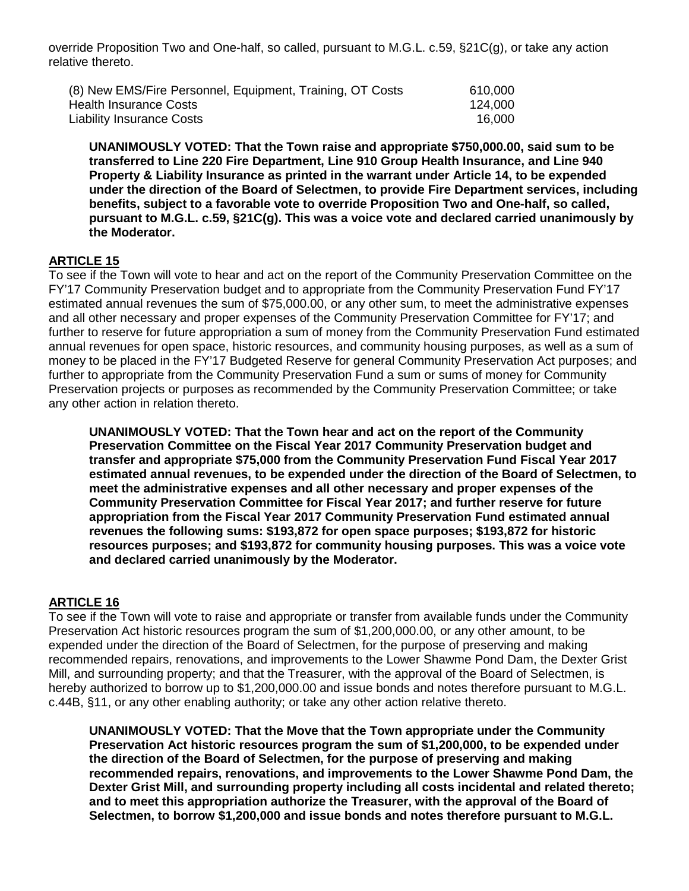override Proposition Two and One-half, so called, pursuant to M.G.L. c.59, §21C(g), or take any action relative thereto.

| (8) New EMS/Fire Personnel, Equipment, Training, OT Costs | 610,000 |
|-----------------------------------------------------------|---------|
| Health Insurance Costs                                    | 124,000 |
| Liability Insurance Costs                                 | 16,000  |

**UNANIMOUSLY VOTED: That the Town raise and appropriate \$750,000.00, said sum to be transferred to Line 220 Fire Department, Line 910 Group Health Insurance, and Line 940 Property & Liability Insurance as printed in the warrant under Article 14, to be expended under the direction of the Board of Selectmen, to provide Fire Department services, including benefits, subject to a favorable vote to override Proposition Two and One-half, so called, pursuant to M.G.L. c.59, §21C(g). This was a voice vote and declared carried unanimously by the Moderator.**

### **ARTICLE 15**

To see if the Town will vote to hear and act on the report of the Community Preservation Committee on the FY'17 Community Preservation budget and to appropriate from the Community Preservation Fund FY'17 estimated annual revenues the sum of \$75,000.00, or any other sum, to meet the administrative expenses and all other necessary and proper expenses of the Community Preservation Committee for FY'17; and further to reserve for future appropriation a sum of money from the Community Preservation Fund estimated annual revenues for open space, historic resources, and community housing purposes, as well as a sum of money to be placed in the FY'17 Budgeted Reserve for general Community Preservation Act purposes; and further to appropriate from the Community Preservation Fund a sum or sums of money for Community Preservation projects or purposes as recommended by the Community Preservation Committee; or take any other action in relation thereto.

**UNANIMOUSLY VOTED: That the Town hear and act on the report of the Community Preservation Committee on the Fiscal Year 2017 Community Preservation budget and transfer and appropriate \$75,000 from the Community Preservation Fund Fiscal Year 2017 estimated annual revenues, to be expended under the direction of the Board of Selectmen, to meet the administrative expenses and all other necessary and proper expenses of the Community Preservation Committee for Fiscal Year 2017; and further reserve for future appropriation from the Fiscal Year 2017 Community Preservation Fund estimated annual revenues the following sums: \$193,872 for open space purposes; \$193,872 for historic resources purposes; and \$193,872 for community housing purposes. This was a voice vote and declared carried unanimously by the Moderator.**

### **ARTICLE 16**

To see if the Town will vote to raise and appropriate or transfer from available funds under the Community Preservation Act historic resources program the sum of \$1,200,000.00, or any other amount, to be expended under the direction of the Board of Selectmen, for the purpose of preserving and making recommended repairs, renovations, and improvements to the Lower Shawme Pond Dam, the Dexter Grist Mill, and surrounding property; and that the Treasurer, with the approval of the Board of Selectmen, is hereby authorized to borrow up to \$1,200,000.00 and issue bonds and notes therefore pursuant to M.G.L. c.44B, §11, or any other enabling authority; or take any other action relative thereto.

**UNANIMOUSLY VOTED: That the Move that the Town appropriate under the Community Preservation Act historic resources program the sum of \$1,200,000, to be expended under the direction of the Board of Selectmen, for the purpose of preserving and making recommended repairs, renovations, and improvements to the Lower Shawme Pond Dam, the Dexter Grist Mill, and surrounding property including all costs incidental and related thereto; and to meet this appropriation authorize the Treasurer, with the approval of the Board of Selectmen, to borrow \$1,200,000 and issue bonds and notes therefore pursuant to M.G.L.**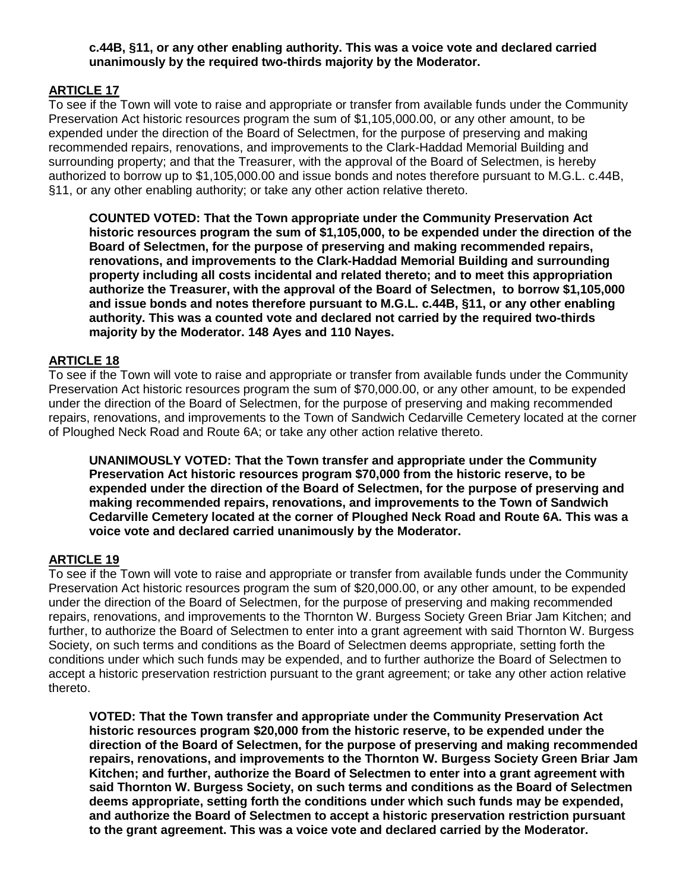### **c.44B, §11, or any other enabling authority. This was a voice vote and declared carried unanimously by the required two-thirds majority by the Moderator.**

# **ARTICLE 17**

To see if the Town will vote to raise and appropriate or transfer from available funds under the Community Preservation Act historic resources program the sum of \$1,105,000.00, or any other amount, to be expended under the direction of the Board of Selectmen, for the purpose of preserving and making recommended repairs, renovations, and improvements to the Clark-Haddad Memorial Building and surrounding property; and that the Treasurer, with the approval of the Board of Selectmen, is hereby authorized to borrow up to \$1,105,000.00 and issue bonds and notes therefore pursuant to M.G.L. c.44B, §11, or any other enabling authority; or take any other action relative thereto.

**COUNTED VOTED: That the Town appropriate under the Community Preservation Act historic resources program the sum of \$1,105,000, to be expended under the direction of the Board of Selectmen, for the purpose of preserving and making recommended repairs, renovations, and improvements to the Clark-Haddad Memorial Building and surrounding property including all costs incidental and related thereto; and to meet this appropriation authorize the Treasurer, with the approval of the Board of Selectmen, to borrow \$1,105,000 and issue bonds and notes therefore pursuant to M.G.L. c.44B, §11, or any other enabling authority. This was a counted vote and declared not carried by the required two-thirds majority by the Moderator. 148 Ayes and 110 Nayes.**

### **ARTICLE 18**

To see if the Town will vote to raise and appropriate or transfer from available funds under the Community Preservation Act historic resources program the sum of \$70,000.00, or any other amount, to be expended under the direction of the Board of Selectmen, for the purpose of preserving and making recommended repairs, renovations, and improvements to the Town of Sandwich Cedarville Cemetery located at the corner of Ploughed Neck Road and Route 6A; or take any other action relative thereto.

**UNANIMOUSLY VOTED: That the Town transfer and appropriate under the Community Preservation Act historic resources program \$70,000 from the historic reserve, to be expended under the direction of the Board of Selectmen, for the purpose of preserving and making recommended repairs, renovations, and improvements to the Town of Sandwich Cedarville Cemetery located at the corner of Ploughed Neck Road and Route 6A. This was a voice vote and declared carried unanimously by the Moderator.**

# **ARTICLE 19**

To see if the Town will vote to raise and appropriate or transfer from available funds under the Community Preservation Act historic resources program the sum of \$20,000.00, or any other amount, to be expended under the direction of the Board of Selectmen, for the purpose of preserving and making recommended repairs, renovations, and improvements to the Thornton W. Burgess Society Green Briar Jam Kitchen; and further, to authorize the Board of Selectmen to enter into a grant agreement with said Thornton W. Burgess Society, on such terms and conditions as the Board of Selectmen deems appropriate, setting forth the conditions under which such funds may be expended, and to further authorize the Board of Selectmen to accept a historic preservation restriction pursuant to the grant agreement; or take any other action relative thereto.

**VOTED: That the Town transfer and appropriate under the Community Preservation Act historic resources program \$20,000 from the historic reserve, to be expended under the direction of the Board of Selectmen, for the purpose of preserving and making recommended repairs, renovations, and improvements to the Thornton W. Burgess Society Green Briar Jam Kitchen; and further, authorize the Board of Selectmen to enter into a grant agreement with said Thornton W. Burgess Society, on such terms and conditions as the Board of Selectmen deems appropriate, setting forth the conditions under which such funds may be expended, and authorize the Board of Selectmen to accept a historic preservation restriction pursuant to the grant agreement. This was a voice vote and declared carried by the Moderator.**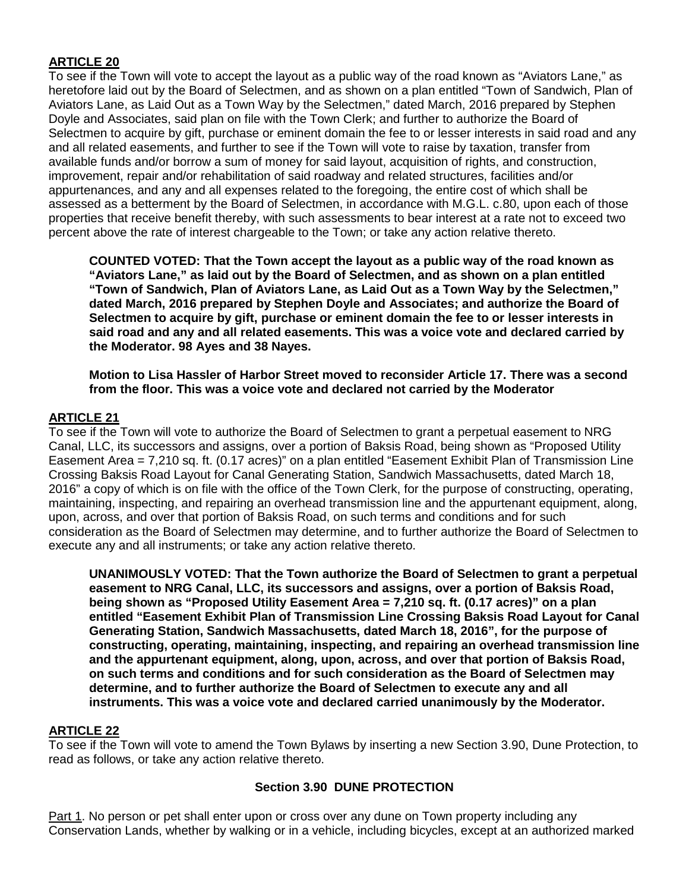# **ARTICLE 20**

To see if the Town will vote to accept the layout as a public way of the road known as "Aviators Lane," as heretofore laid out by the Board of Selectmen, and as shown on a plan entitled "Town of Sandwich, Plan of Aviators Lane, as Laid Out as a Town Way by the Selectmen," dated March, 2016 prepared by Stephen Doyle and Associates, said plan on file with the Town Clerk; and further to authorize the Board of Selectmen to acquire by gift, purchase or eminent domain the fee to or lesser interests in said road and any and all related easements, and further to see if the Town will vote to raise by taxation, transfer from available funds and/or borrow a sum of money for said layout, acquisition of rights, and construction, improvement, repair and/or rehabilitation of said roadway and related structures, facilities and/or appurtenances, and any and all expenses related to the foregoing, the entire cost of which shall be assessed as a betterment by the Board of Selectmen, in accordance with M.G.L. c.80, upon each of those properties that receive benefit thereby, with such assessments to bear interest at a rate not to exceed two percent above the rate of interest chargeable to the Town; or take any action relative thereto.

**COUNTED VOTED: That the Town accept the layout as a public way of the road known as "Aviators Lane," as laid out by the Board of Selectmen, and as shown on a plan entitled "Town of Sandwich, Plan of Aviators Lane, as Laid Out as a Town Way by the Selectmen," dated March, 2016 prepared by Stephen Doyle and Associates; and authorize the Board of Selectmen to acquire by gift, purchase or eminent domain the fee to or lesser interests in said road and any and all related easements. This was a voice vote and declared carried by the Moderator. 98 Ayes and 38 Nayes.**

**Motion to Lisa Hassler of Harbor Street moved to reconsider Article 17. There was a second from the floor. This was a voice vote and declared not carried by the Moderator**

## **ARTICLE 21**

To see if the Town will vote to authorize the Board of Selectmen to grant a perpetual easement to NRG Canal, LLC, its successors and assigns, over a portion of Baksis Road, being shown as "Proposed Utility Easement Area = 7,210 sq. ft. (0.17 acres)" on a plan entitled "Easement Exhibit Plan of Transmission Line Crossing Baksis Road Layout for Canal Generating Station, Sandwich Massachusetts, dated March 18, 2016" a copy of which is on file with the office of the Town Clerk, for the purpose of constructing, operating, maintaining, inspecting, and repairing an overhead transmission line and the appurtenant equipment, along, upon, across, and over that portion of Baksis Road, on such terms and conditions and for such consideration as the Board of Selectmen may determine, and to further authorize the Board of Selectmen to execute any and all instruments; or take any action relative thereto.

**UNANIMOUSLY VOTED: That the Town authorize the Board of Selectmen to grant a perpetual easement to NRG Canal, LLC, its successors and assigns, over a portion of Baksis Road, being shown as "Proposed Utility Easement Area = 7,210 sq. ft. (0.17 acres)" on a plan entitled "Easement Exhibit Plan of Transmission Line Crossing Baksis Road Layout for Canal Generating Station, Sandwich Massachusetts, dated March 18, 2016", for the purpose of constructing, operating, maintaining, inspecting, and repairing an overhead transmission line and the appurtenant equipment, along, upon, across, and over that portion of Baksis Road, on such terms and conditions and for such consideration as the Board of Selectmen may determine, and to further authorize the Board of Selectmen to execute any and all instruments. This was a voice vote and declared carried unanimously by the Moderator.**

### **ARTICLE 22**

To see if the Town will vote to amend the Town Bylaws by inserting a new Section 3.90, Dune Protection, to read as follows, or take any action relative thereto.

### **Section 3.90 DUNE PROTECTION**

Part 1. No person or pet shall enter upon or cross over any dune on Town property including any Conservation Lands, whether by walking or in a vehicle, including bicycles, except at an authorized marked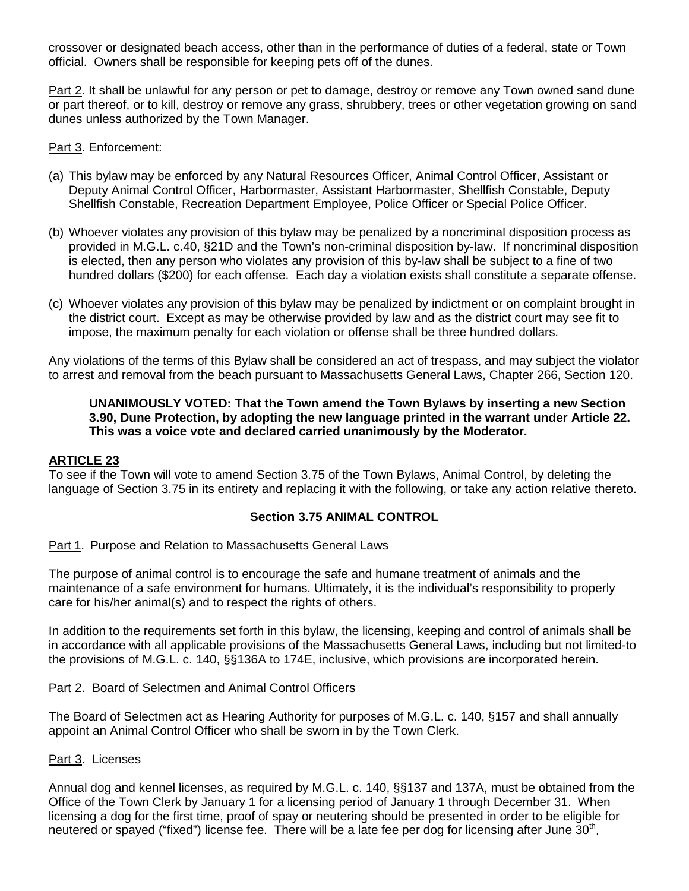crossover or designated beach access, other than in the performance of duties of a federal, state or Town official. Owners shall be responsible for keeping pets off of the dunes.

Part 2. It shall be unlawful for any person or pet to damage, destroy or remove any Town owned sand dune or part thereof, or to kill, destroy or remove any grass, shrubbery, trees or other vegetation growing on sand dunes unless authorized by the Town Manager.

Part 3. Enforcement:

- (a) This bylaw may be enforced by any Natural Resources Officer, Animal Control Officer, Assistant or Deputy Animal Control Officer, Harbormaster, Assistant Harbormaster, Shellfish Constable, Deputy Shellfish Constable, Recreation Department Employee, Police Officer or Special Police Officer.
- (b) Whoever violates any provision of this bylaw may be penalized by a noncriminal disposition process as provided in M.G.L. c.40, §21D and the Town's non-criminal disposition by-law. If noncriminal disposition is elected, then any person who violates any provision of this by-law shall be subject to a fine of two hundred dollars (\$200) for each offense. Each day a violation exists shall constitute a separate offense.
- (c) Whoever violates any provision of this bylaw may be penalized by indictment or on complaint brought in the district court. Except as may be otherwise provided by law and as the district court may see fit to impose, the maximum penalty for each violation or offense shall be three hundred dollars.

Any violations of the terms of this Bylaw shall be considered an act of trespass, and may subject the violator to arrest and removal from the beach pursuant to Massachusetts General Laws, Chapter 266, Section 120.

### **UNANIMOUSLY VOTED: That the Town amend the Town Bylaws by inserting a new Section 3.90, Dune Protection, by adopting the new language printed in the warrant under Article 22. This was a voice vote and declared carried unanimously by the Moderator.**

### **ARTICLE 23**

To see if the Town will vote to amend Section 3.75 of the Town Bylaws, Animal Control, by deleting the language of Section 3.75 in its entirety and replacing it with the following, or take any action relative thereto.

### **Section 3.75 ANIMAL CONTROL**

Part 1. Purpose and Relation to Massachusetts General Laws

The purpose of animal control is to encourage the safe and humane treatment of animals and the maintenance of a safe environment for humans. Ultimately, it is the individual's responsibility to properly care for his/her animal(s) and to respect the rights of others.

In addition to the requirements set forth in this bylaw, the licensing, keeping and control of animals shall be in accordance with all applicable provisions of the Massachusetts General Laws, including but not limited-to the provisions of M.G.L. c. 140, §§136A to 174E, inclusive, which provisions are incorporated herein.

Part 2. Board of Selectmen and Animal Control Officers

The Board of Selectmen act as Hearing Authority for purposes of M.G.L. c. 140, §157 and shall annually appoint an Animal Control Officer who shall be sworn in by the Town Clerk.

#### Part 3. Licenses

Annual dog and kennel licenses, as required by M.G.L. c. 140, §§137 and 137A, must be obtained from the Office of the Town Clerk by January 1 for a licensing period of January 1 through December 31. When licensing a dog for the first time, proof of spay or neutering should be presented in order to be eligible for neutered or spayed ("fixed") license fee. There will be a late fee per dog for licensing after June 30<sup>th</sup>.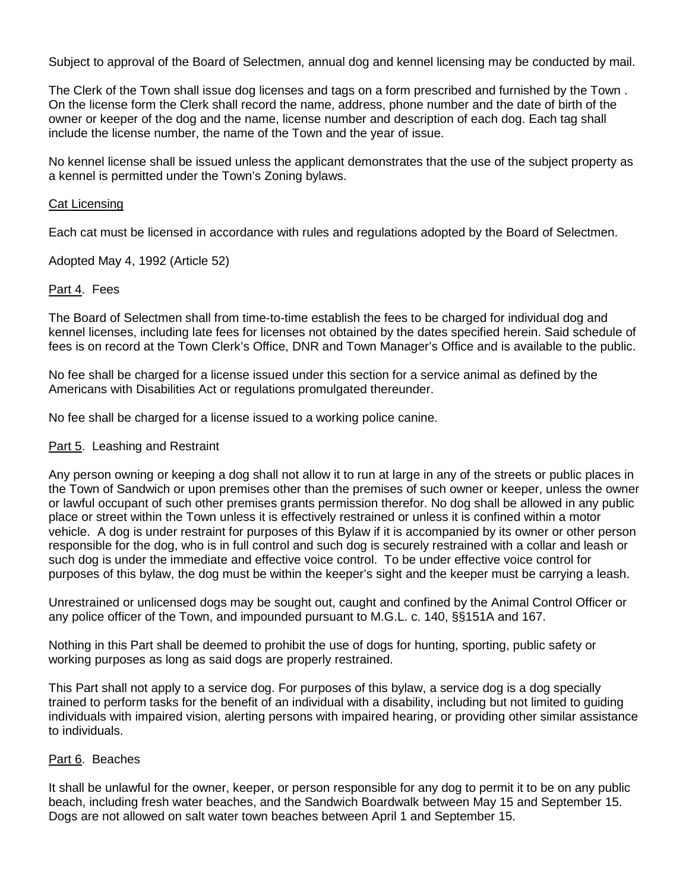Subject to approval of the Board of Selectmen, annual dog and kennel licensing may be conducted by mail.

The Clerk of the Town shall issue dog licenses and tags on a form prescribed and furnished by the Town . On the license form the Clerk shall record the name, address, phone number and the date of birth of the owner or keeper of the dog and the name, license number and description of each dog. Each tag shall include the license number, the name of the Town and the year of issue.

No kennel license shall be issued unless the applicant demonstrates that the use of the subject property as a kennel is permitted under the Town's Zoning bylaws.

#### Cat Licensing

Each cat must be licensed in accordance with rules and regulations adopted by the Board of Selectmen.

Adopted May 4, 1992 (Article 52)

### Part 4. Fees

The Board of Selectmen shall from time-to-time establish the fees to be charged for individual dog and kennel licenses, including late fees for licenses not obtained by the dates specified herein. Said schedule of fees is on record at the Town Clerk's Office, DNR and Town Manager's Office and is available to the public.

No fee shall be charged for a license issued under this section for a service animal as defined by the Americans with Disabilities Act or regulations promulgated thereunder.

No fee shall be charged for a license issued to a working police canine.

### Part 5. Leashing and Restraint

Any person owning or keeping a dog shall not allow it to run at large in any of the streets or public places in the Town of Sandwich or upon premises other than the premises of such owner or keeper, unless the owner or lawful occupant of such other premises grants permission therefor. No dog shall be allowed in any public place or street within the Town unless it is effectively restrained or unless it is confined within a motor vehicle. A dog is under restraint for purposes of this Bylaw if it is accompanied by its owner or other person responsible for the dog, who is in full control and such dog is securely restrained with a collar and leash or such dog is under the immediate and effective voice control. To be under effective voice control for purposes of this bylaw, the dog must be within the keeper's sight and the keeper must be carrying a leash.

Unrestrained or unlicensed dogs may be sought out, caught and confined by the Animal Control Officer or any police officer of the Town, and impounded pursuant to M.G.L. c. 140, §§151A and 167.

Nothing in this Part shall be deemed to prohibit the use of dogs for hunting, sporting, public safety or working purposes as long as said dogs are properly restrained.

This Part shall not apply to a service dog. For purposes of this bylaw, a service dog is a dog specially trained to perform tasks for the benefit of an individual with a disability, including but not limited to guiding individuals with impaired vision, alerting persons with impaired hearing, or providing other similar assistance to individuals.

#### Part 6. Beaches

It shall be unlawful for the owner, keeper, or person responsible for any dog to permit it to be on any public beach, including fresh water beaches, and the Sandwich Boardwalk between May 15 and September 15. Dogs are not allowed on salt water town beaches between April 1 and September 15.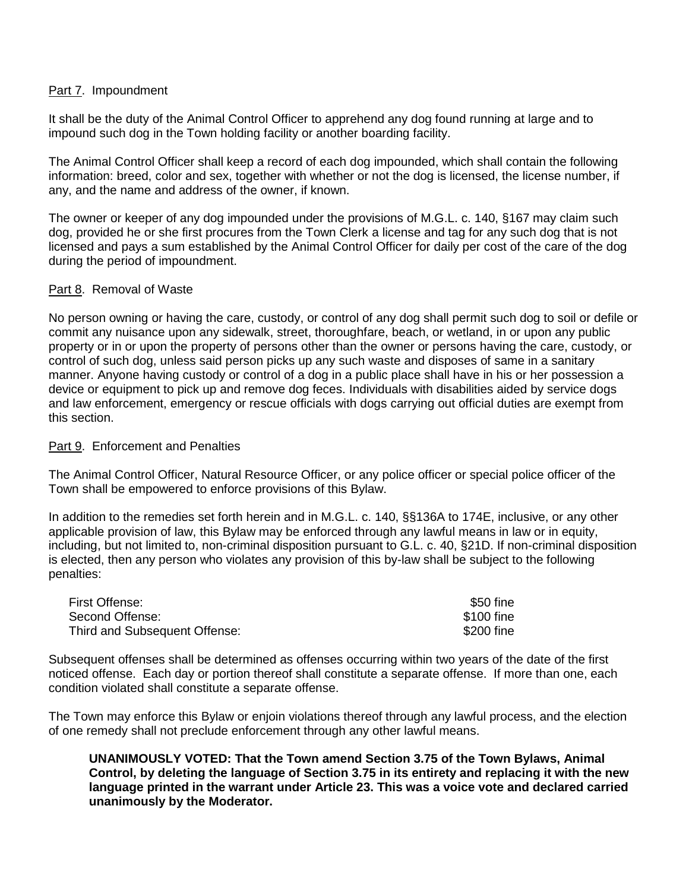#### Part 7. Impoundment

It shall be the duty of the Animal Control Officer to apprehend any dog found running at large and to impound such dog in the Town holding facility or another boarding facility.

The Animal Control Officer shall keep a record of each dog impounded, which shall contain the following information: breed, color and sex, together with whether or not the dog is licensed, the license number, if any, and the name and address of the owner, if known.

The owner or keeper of any dog impounded under the provisions of M.G.L. c. 140, §167 may claim such dog, provided he or she first procures from the Town Clerk a license and tag for any such dog that is not licensed and pays a sum established by the Animal Control Officer for daily per cost of the care of the dog during the period of impoundment.

#### Part 8. Removal of Waste

No person owning or having the care, custody, or control of any dog shall permit such dog to soil or defile or commit any nuisance upon any sidewalk, street, thoroughfare, beach, or wetland, in or upon any public property or in or upon the property of persons other than the owner or persons having the care, custody, or control of such dog, unless said person picks up any such waste and disposes of same in a sanitary manner. Anyone having custody or control of a dog in a public place shall have in his or her possession a device or equipment to pick up and remove dog feces. Individuals with disabilities aided by service dogs and law enforcement, emergency or rescue officials with dogs carrying out official duties are exempt from this section.

#### Part 9. Enforcement and Penalties

The Animal Control Officer, Natural Resource Officer, or any police officer or special police officer of the Town shall be empowered to enforce provisions of this Bylaw.

In addition to the remedies set forth herein and in M.G.L. c. 140, §§136A to 174E, inclusive, or any other applicable provision of law, this Bylaw may be enforced through any lawful means in law or in equity, including, but not limited to, non-criminal disposition pursuant to G.L. c. 40, §21D. If non-criminal disposition is elected, then any person who violates any provision of this by-law shall be subject to the following penalties:

| First Offense:                | \$50 fine  |
|-------------------------------|------------|
| Second Offense:               | \$100 fine |
| Third and Subsequent Offense: | \$200 fine |

Subsequent offenses shall be determined as offenses occurring within two years of the date of the first noticed offense. Each day or portion thereof shall constitute a separate offense. If more than one, each condition violated shall constitute a separate offense.

The Town may enforce this Bylaw or enjoin violations thereof through any lawful process, and the election of one remedy shall not preclude enforcement through any other lawful means.

**UNANIMOUSLY VOTED: That the Town amend Section 3.75 of the Town Bylaws, Animal Control, by deleting the language of Section 3.75 in its entirety and replacing it with the new language printed in the warrant under Article 23. This was a voice vote and declared carried unanimously by the Moderator.**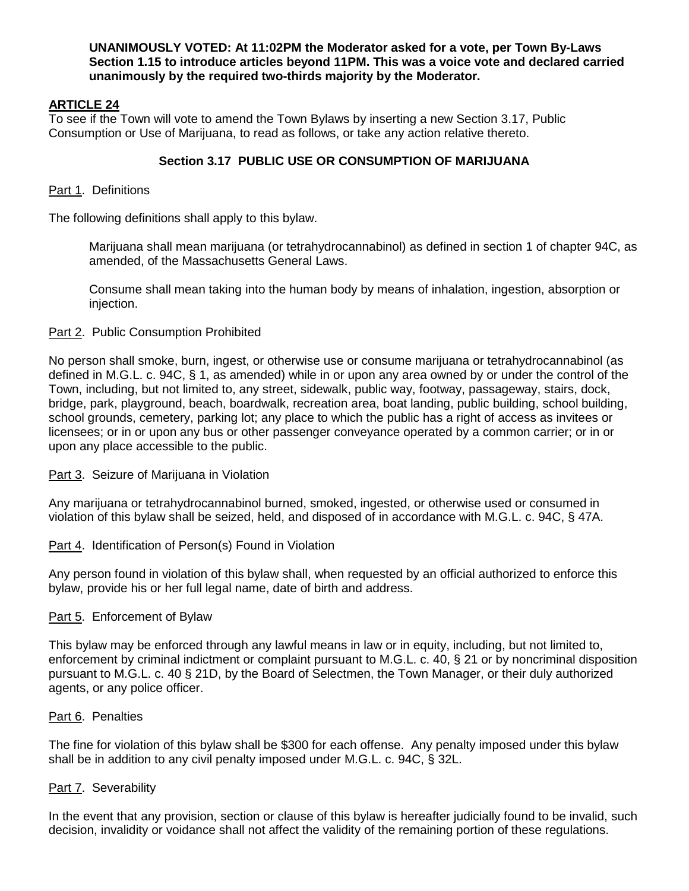#### **UNANIMOUSLY VOTED: At 11:02PM the Moderator asked for a vote, per Town By-Laws Section 1.15 to introduce articles beyond 11PM. This was a voice vote and declared carried unanimously by the required two-thirds majority by the Moderator.**

# **ARTICLE 24**

To see if the Town will vote to amend the Town Bylaws by inserting a new Section 3.17, Public Consumption or Use of Marijuana, to read as follows, or take any action relative thereto.

# **Section 3.17 PUBLIC USE OR CONSUMPTION OF MARIJUANA**

### Part 1. Definitions

The following definitions shall apply to this bylaw.

Marijuana shall mean marijuana (or tetrahydrocannabinol) as defined in section 1 of chapter 94C, as amended, of the Massachusetts General Laws.

Consume shall mean taking into the human body by means of inhalation, ingestion, absorption or injection.

### Part 2. Public Consumption Prohibited

No person shall smoke, burn, ingest, or otherwise use or consume marijuana or tetrahydrocannabinol (as defined in M.G.L. c. 94C, § 1, as amended) while in or upon any area owned by or under the control of the Town, including, but not limited to, any street, sidewalk, public way, footway, passageway, stairs, dock, bridge, park, playground, beach, boardwalk, recreation area, boat landing, public building, school building, school grounds, cemetery, parking lot; any place to which the public has a right of access as invitees or licensees; or in or upon any bus or other passenger conveyance operated by a common carrier; or in or upon any place accessible to the public.

Part 3. Seizure of Marijuana in Violation

Any marijuana or tetrahydrocannabinol burned, smoked, ingested, or otherwise used or consumed in violation of this bylaw shall be seized, held, and disposed of in accordance with M.G.L. c. 94C, § 47A.

### Part 4. Identification of Person(s) Found in Violation

Any person found in violation of this bylaw shall, when requested by an official authorized to enforce this bylaw, provide his or her full legal name, date of birth and address.

### Part 5. Enforcement of Bylaw

This bylaw may be enforced through any lawful means in law or in equity, including, but not limited to, enforcement by criminal indictment or complaint pursuant to M.G.L. c. 40, § 21 or by noncriminal disposition pursuant to M.G.L. c. 40 § 21D, by the Board of Selectmen, the Town Manager, or their duly authorized agents, or any police officer.

### Part 6. Penalties

The fine for violation of this bylaw shall be \$300 for each offense. Any penalty imposed under this bylaw shall be in addition to any civil penalty imposed under M.G.L. c. 94C, § 32L.

### Part 7. Severability

In the event that any provision, section or clause of this bylaw is hereafter judicially found to be invalid, such decision, invalidity or voidance shall not affect the validity of the remaining portion of these regulations.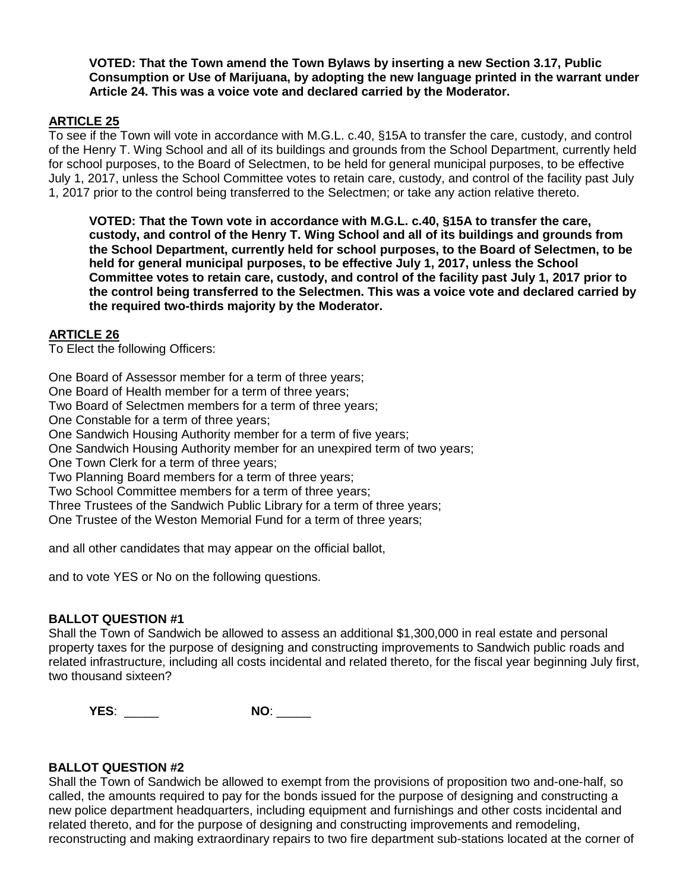**VOTED: That the Town amend the Town Bylaws by inserting a new Section 3.17, Public Consumption or Use of Marijuana, by adopting the new language printed in the warrant under Article 24. This was a voice vote and declared carried by the Moderator.**

### **ARTICLE 25**

To see if the Town will vote in accordance with M.G.L. c.40, §15A to transfer the care, custody, and control of the Henry T. Wing School and all of its buildings and grounds from the School Department, currently held for school purposes, to the Board of Selectmen, to be held for general municipal purposes, to be effective July 1, 2017, unless the School Committee votes to retain care, custody, and control of the facility past July 1, 2017 prior to the control being transferred to the Selectmen; or take any action relative thereto.

**VOTED: That the Town vote in accordance with M.G.L. c.40, §15A to transfer the care, custody, and control of the Henry T. Wing School and all of its buildings and grounds from the School Department, currently held for school purposes, to the Board of Selectmen, to be held for general municipal purposes, to be effective July 1, 2017, unless the School Committee votes to retain care, custody, and control of the facility past July 1, 2017 prior to the control being transferred to the Selectmen. This was a voice vote and declared carried by the required two-thirds majority by the Moderator.**

### **ARTICLE 26**

To Elect the following Officers:

One Board of Assessor member for a term of three years;

One Board of Health member for a term of three years;

Two Board of Selectmen members for a term of three years;

One Constable for a term of three years;

One Sandwich Housing Authority member for a term of five years;

One Sandwich Housing Authority member for an unexpired term of two years;

One Town Clerk for a term of three years;

Two Planning Board members for a term of three years;

Two School Committee members for a term of three years;

Three Trustees of the Sandwich Public Library for a term of three years;

One Trustee of the Weston Memorial Fund for a term of three years;

and all other candidates that may appear on the official ballot,

and to vote YES or No on the following questions.

### **BALLOT QUESTION #1**

Shall the Town of Sandwich be allowed to assess an additional \$1,300,000 in real estate and personal property taxes for the purpose of designing and constructing improvements to Sandwich public roads and related infrastructure, including all costs incidental and related thereto, for the fiscal year beginning July first, two thousand sixteen?

**YES**: \_\_\_\_\_ **NO**: \_\_\_\_\_

### **BALLOT QUESTION #2**

Shall the Town of Sandwich be allowed to exempt from the provisions of proposition two and-one-half, so called, the amounts required to pay for the bonds issued for the purpose of designing and constructing a new police department headquarters, including equipment and furnishings and other costs incidental and related thereto, and for the purpose of designing and constructing improvements and remodeling, reconstructing and making extraordinary repairs to two fire department sub-stations located at the corner of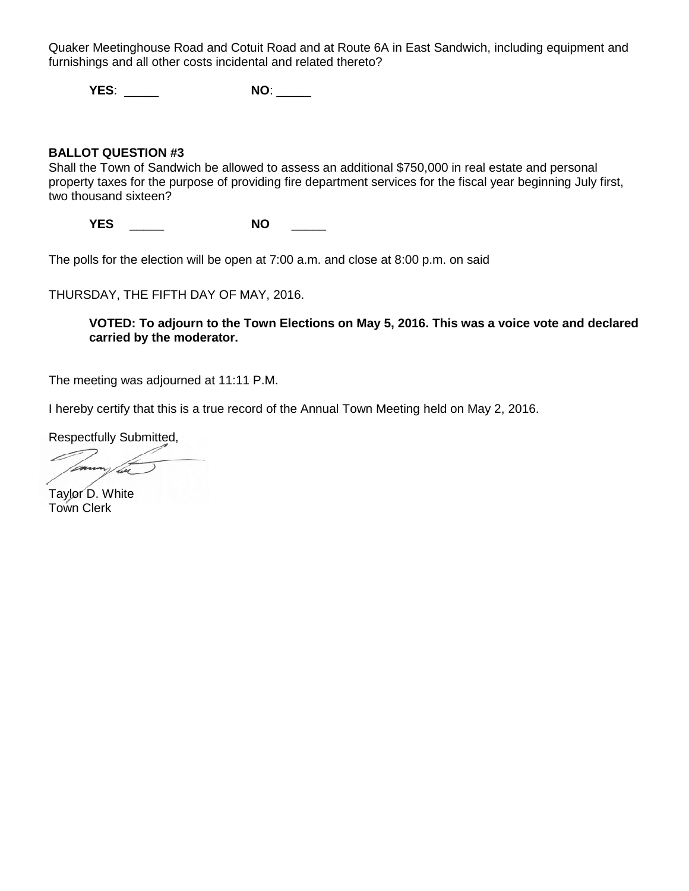Quaker Meetinghouse Road and Cotuit Road and at Route 6A in East Sandwich, including equipment and furnishings and all other costs incidental and related thereto?

**YES**: \_\_\_\_\_ **NO**: \_\_\_\_\_

### **BALLOT QUESTION #3**

Shall the Town of Sandwich be allowed to assess an additional \$750,000 in real estate and personal property taxes for the purpose of providing fire department services for the fiscal year beginning July first, two thousand sixteen?

**YES** \_\_\_\_\_ **NO** \_\_\_\_\_

The polls for the election will be open at 7:00 a.m. and close at 8:00 p.m. on said

THURSDAY, THE FIFTH DAY OF MAY, 2016.

### **VOTED: To adjourn to the Town Elections on May 5, 2016. This was a voice vote and declared carried by the moderator.**

The meeting was adjourned at 11:11 P.M.

I hereby certify that this is a true record of the Annual Town Meeting held on May 2, 2016.

Respectfully Submitted,

Taylor D. White Town Clerk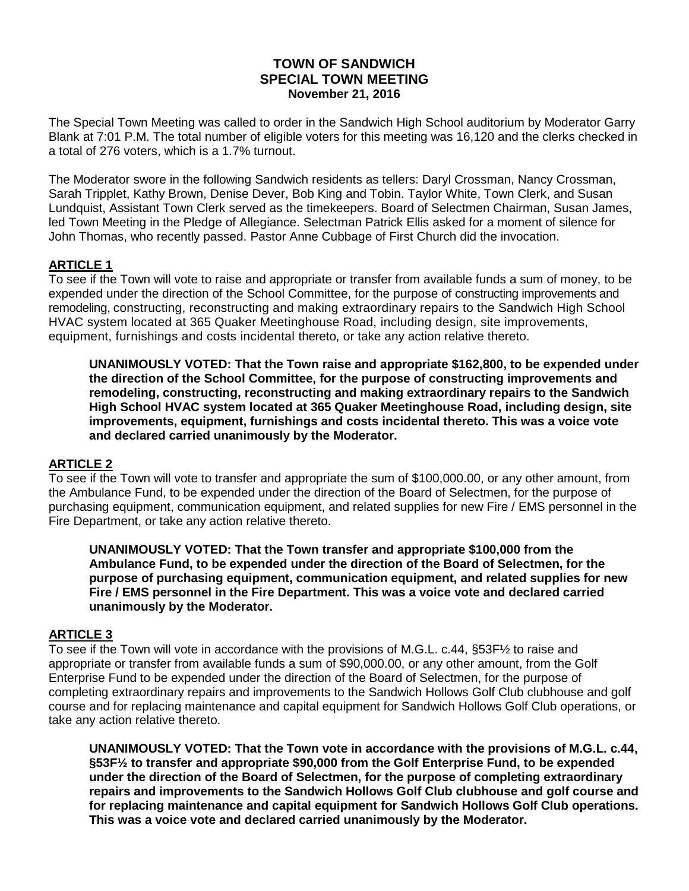# **TOWN OF SANDWICH SPECIAL TOWN MEETING November 21, 2016**

The Special Town Meeting was called to order in the Sandwich High School auditorium by Moderator Garry Blank at 7:01 P.M. The total number of eligible voters for this meeting was 16,120 and the clerks checked in a total of 276 voters, which is a 1.7% turnout.

The Moderator swore in the following Sandwich residents as tellers: Daryl Crossman, Nancy Crossman, Sarah Tripplet, Kathy Brown, Denise Dever, Bob King and Tobin. Taylor White, Town Clerk, and Susan Lundquist, Assistant Town Clerk served as the timekeepers. Board of Selectmen Chairman, Susan James, led Town Meeting in the Pledge of Allegiance. Selectman Patrick Ellis asked for a moment of silence for John Thomas, who recently passed. Pastor Anne Cubbage of First Church did the invocation.

# **ARTICLE 1**

To see if the Town will vote to raise and appropriate or transfer from available funds a sum of money, to be expended under the direction of the School Committee, for the purpose of constructing improvements and remodeling, constructing, reconstructing and making extraordinary repairs to the Sandwich High School HVAC system located at 365 Quaker Meetinghouse Road, including design, site improvements, equipment, furnishings and costs incidental thereto, or take any action relative thereto.

**UNANIMOUSLY VOTED: That the Town raise and appropriate \$162,800, to be expended under the direction of the School Committee, for the purpose of constructing improvements and remodeling, constructing, reconstructing and making extraordinary repairs to the Sandwich High School HVAC system located at 365 Quaker Meetinghouse Road, including design, site improvements, equipment, furnishings and costs incidental thereto. This was a voice vote and declared carried unanimously by the Moderator.**

# **ARTICLE 2**

To see if the Town will vote to transfer and appropriate the sum of \$100,000.00, or any other amount, from the Ambulance Fund, to be expended under the direction of the Board of Selectmen, for the purpose of purchasing equipment, communication equipment, and related supplies for new Fire / EMS personnel in the Fire Department, or take any action relative thereto.

**UNANIMOUSLY VOTED: That the Town transfer and appropriate \$100,000 from the Ambulance Fund, to be expended under the direction of the Board of Selectmen, for the purpose of purchasing equipment, communication equipment, and related supplies for new Fire / EMS personnel in the Fire Department. This was a voice vote and declared carried unanimously by the Moderator.**

# **ARTICLE 3**

To see if the Town will vote in accordance with the provisions of M.G.L. c.44, §53F½ to raise and appropriate or transfer from available funds a sum of \$90,000.00, or any other amount, from the Golf Enterprise Fund to be expended under the direction of the Board of Selectmen, for the purpose of completing extraordinary repairs and improvements to the Sandwich Hollows Golf Club clubhouse and golf course and for replacing maintenance and capital equipment for Sandwich Hollows Golf Club operations, or take any action relative thereto.

**UNANIMOUSLY VOTED: That the Town vote in accordance with the provisions of M.G.L. c.44, §53F½ to transfer and appropriate \$90,000 from the Golf Enterprise Fund, to be expended under the direction of the Board of Selectmen, for the purpose of completing extraordinary repairs and improvements to the Sandwich Hollows Golf Club clubhouse and golf course and for replacing maintenance and capital equipment for Sandwich Hollows Golf Club operations. This was a voice vote and declared carried unanimously by the Moderator.**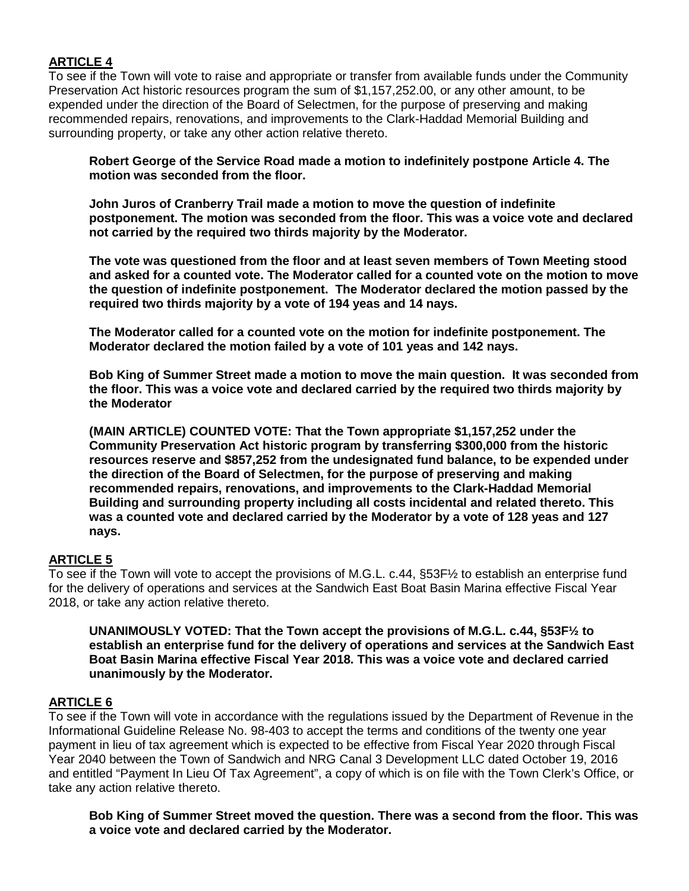# **ARTICLE 4**

To see if the Town will vote to raise and appropriate or transfer from available funds under the Community Preservation Act historic resources program the sum of \$1,157,252.00, or any other amount, to be expended under the direction of the Board of Selectmen, for the purpose of preserving and making recommended repairs, renovations, and improvements to the Clark-Haddad Memorial Building and surrounding property, or take any other action relative thereto.

**Robert George of the Service Road made a motion to indefinitely postpone Article 4. The motion was seconded from the floor.** 

**John Juros of Cranberry Trail made a motion to move the question of indefinite postponement. The motion was seconded from the floor. This was a voice vote and declared not carried by the required two thirds majority by the Moderator.**

**The vote was questioned from the floor and at least seven members of Town Meeting stood and asked for a counted vote. The Moderator called for a counted vote on the motion to move the question of indefinite postponement. The Moderator declared the motion passed by the required two thirds majority by a vote of 194 yeas and 14 nays.**

**The Moderator called for a counted vote on the motion for indefinite postponement. The Moderator declared the motion failed by a vote of 101 yeas and 142 nays.**

**Bob King of Summer Street made a motion to move the main question. It was seconded from the floor. This was a voice vote and declared carried by the required two thirds majority by the Moderator**

**(MAIN ARTICLE) COUNTED VOTE: That the Town appropriate \$1,157,252 under the Community Preservation Act historic program by transferring \$300,000 from the historic resources reserve and \$857,252 from the undesignated fund balance, to be expended under the direction of the Board of Selectmen, for the purpose of preserving and making recommended repairs, renovations, and improvements to the Clark-Haddad Memorial Building and surrounding property including all costs incidental and related thereto. This was a counted vote and declared carried by the Moderator by a vote of 128 yeas and 127 nays.** 

# **ARTICLE 5**

To see if the Town will vote to accept the provisions of M.G.L. c.44, §53F½ to establish an enterprise fund for the delivery of operations and services at the Sandwich East Boat Basin Marina effective Fiscal Year 2018, or take any action relative thereto.

**UNANIMOUSLY VOTED: That the Town accept the provisions of M.G.L. c.44, §53F½ to establish an enterprise fund for the delivery of operations and services at the Sandwich East Boat Basin Marina effective Fiscal Year 2018. This was a voice vote and declared carried unanimously by the Moderator.**

### **ARTICLE 6**

To see if the Town will vote in accordance with the regulations issued by the Department of Revenue in the Informational Guideline Release No. 98-403 to accept the terms and conditions of the twenty one year payment in lieu of tax agreement which is expected to be effective from Fiscal Year 2020 through Fiscal Year 2040 between the Town of Sandwich and NRG Canal 3 Development LLC dated October 19, 2016 and entitled "Payment In Lieu Of Tax Agreement", a copy of which is on file with the Town Clerk's Office, or take any action relative thereto.

**Bob King of Summer Street moved the question. There was a second from the floor. This was a voice vote and declared carried by the Moderator.**